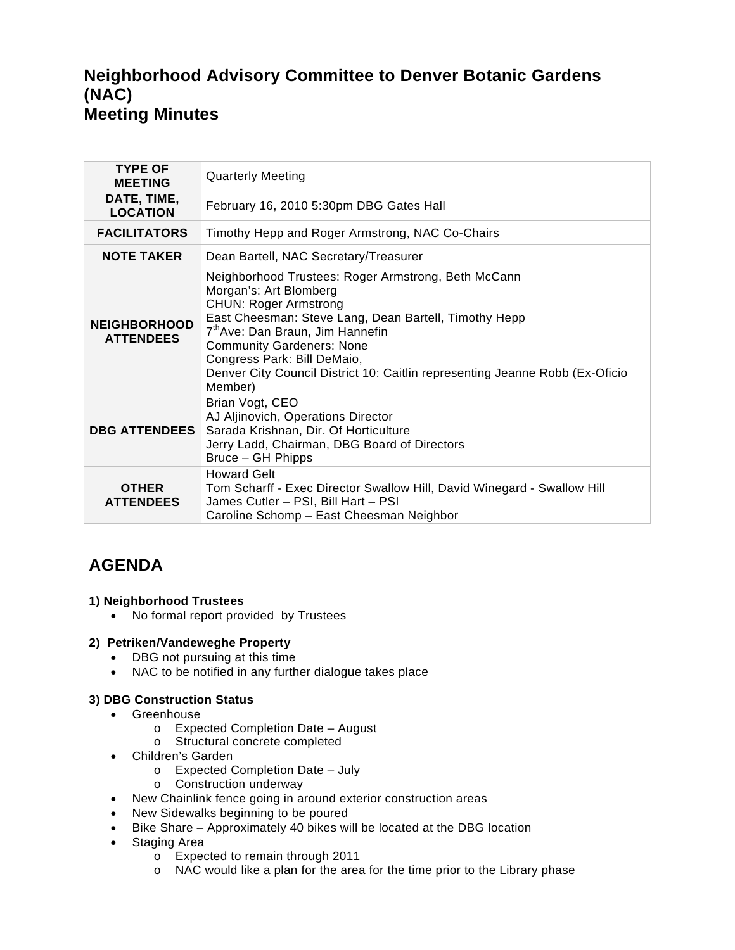# **Neighborhood Advisory Committee to Denver Botanic Gardens (NAC) Meeting Minutes**

| <b>TYPE OF</b><br><b>MEETING</b>        | <b>Quarterly Meeting</b>                                                                                                                                                                                                                                                                                                                                                             |
|-----------------------------------------|--------------------------------------------------------------------------------------------------------------------------------------------------------------------------------------------------------------------------------------------------------------------------------------------------------------------------------------------------------------------------------------|
| DATE, TIME,<br><b>LOCATION</b>          | February 16, 2010 5:30pm DBG Gates Hall                                                                                                                                                                                                                                                                                                                                              |
| <b>FACILITATORS</b>                     | Timothy Hepp and Roger Armstrong, NAC Co-Chairs                                                                                                                                                                                                                                                                                                                                      |
| <b>NOTE TAKER</b>                       | Dean Bartell, NAC Secretary/Treasurer                                                                                                                                                                                                                                                                                                                                                |
| <b>NEIGHBORHOOD</b><br><b>ATTENDEES</b> | Neighborhood Trustees: Roger Armstrong, Beth McCann<br>Morgan's: Art Blomberg<br><b>CHUN: Roger Armstrong</b><br>East Cheesman: Steve Lang, Dean Bartell, Timothy Hepp<br>7 <sup>th</sup> Ave: Dan Braun, Jim Hannefin<br><b>Community Gardeners: None</b><br>Congress Park: Bill DeMaio,<br>Denver City Council District 10: Caitlin representing Jeanne Robb (Ex-Oficio<br>Member) |
| <b>DBG ATTENDEES</b>                    | Brian Vogt, CEO<br>AJ Aljinovich, Operations Director<br>Sarada Krishnan, Dir. Of Horticulture<br>Jerry Ladd, Chairman, DBG Board of Directors<br>Bruce - GH Phipps                                                                                                                                                                                                                  |
| <b>OTHER</b><br><b>ATTENDEES</b>        | <b>Howard Gelt</b><br>Tom Scharff - Exec Director Swallow Hill, David Winegard - Swallow Hill<br>James Cutler - PSI, Bill Hart - PSI<br>Caroline Schomp - East Cheesman Neighbor                                                                                                                                                                                                     |

# **AGENDA**

# **1) Neighborhood Trustees**

• No formal report provided by Trustees

#### **2) Petriken/Vandeweghe Property**

- DBG not pursuing at this time
- NAC to be notified in any further dialogue takes place

# **3) DBG Construction Status**

- Greenhouse
	- o Expected Completion Date August
	- o Structural concrete completed
- Children's Garden
	- o Expected Completion Date July
	- o Construction underway
- New Chainlink fence going in around exterior construction areas
- New Sidewalks beginning to be poured
- Bike Share Approximately 40 bikes will be located at the DBG location
- Staging Area
	- o Expected to remain through 2011
	- o NAC would like a plan for the area for the time prior to the Library phase